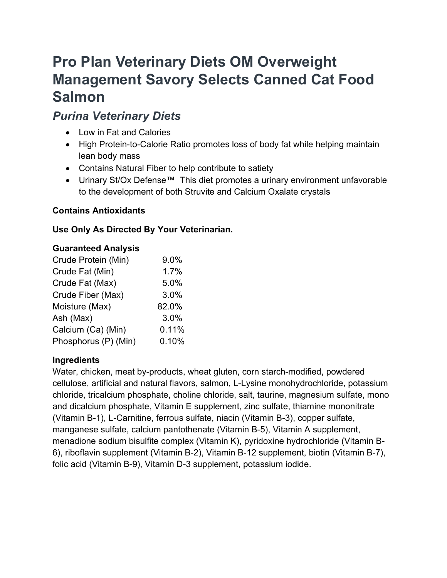# Pro Plan Veterinary Diets OM Overweight Management Savory Selects Canned Cat Food Salmon

# Purina Veterinary Diets

- Low in Fat and Calories
- High Protein-to-Calorie Ratio promotes loss of body fat while helping maintain lean body mass
- Contains Natural Fiber to help contribute to satiety
- Urinary St/Ox Defense™ This diet promotes a urinary environment unfavorable to the development of both Struvite and Calcium Oxalate crystals

# Contains Antioxidants

# Use Only As Directed By Your Veterinarian.

#### Guaranteed Analysis

| Crude Protein (Min)  | 9.0%  |
|----------------------|-------|
| Crude Fat (Min)      | 1.7%  |
| Crude Fat (Max)      | 5.0%  |
| Crude Fiber (Max)    | 3.0%  |
| Moisture (Max)       | 82.0% |
| Ash (Max)            | 3.0%  |
| Calcium (Ca) (Min)   | 0.11% |
| Phosphorus (P) (Min) | 0.10% |

## Ingredients

Water, chicken, meat by-products, wheat gluten, corn starch-modified, powdered cellulose, artificial and natural flavors, salmon, L-Lysine monohydrochloride, potassium chloride, tricalcium phosphate, choline chloride, salt, taurine, magnesium sulfate, mono and dicalcium phosphate, Vitamin E supplement, zinc sulfate, thiamine mononitrate (Vitamin B-1), L-Carnitine, ferrous sulfate, niacin (Vitamin B-3), copper sulfate, manganese sulfate, calcium pantothenate (Vitamin B-5), Vitamin A supplement, menadione sodium bisulfite complex (Vitamin K), pyridoxine hydrochloride (Vitamin B-6), riboflavin supplement (Vitamin B-2), Vitamin B-12 supplement, biotin (Vitamin B-7), folic acid (Vitamin B-9), Vitamin D-3 supplement, potassium iodide.